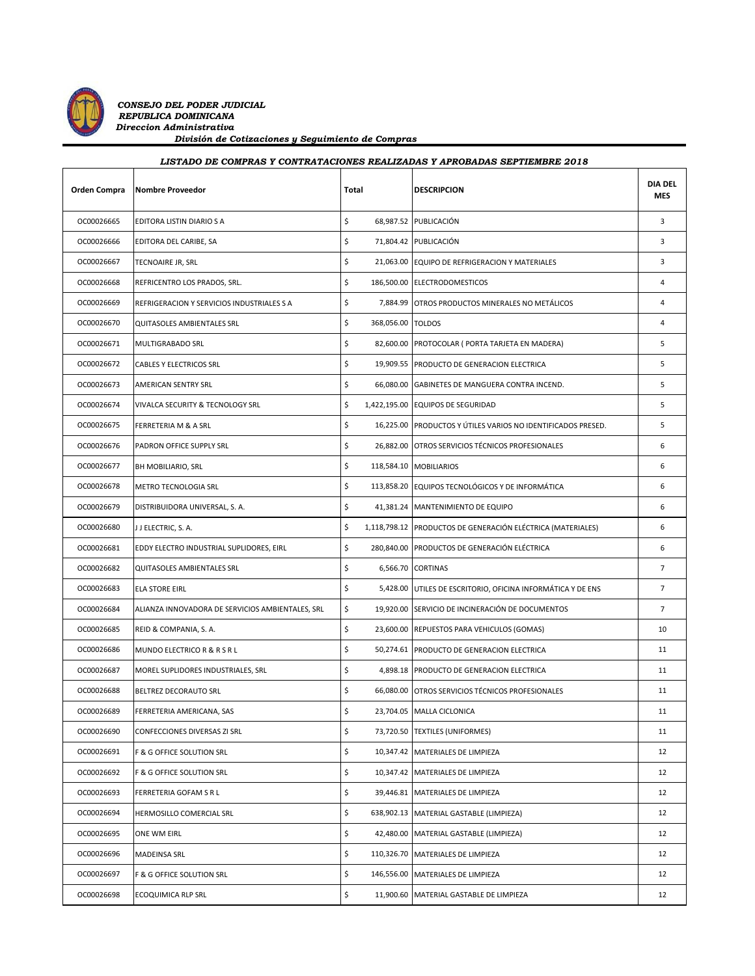

*CONSEJO DEL PODER JUDICIAL REPUBLICA DOMINICANA Direccion Administrativa División de Cotizaciones y Seguimiento de Compras*

| LISTADO DE COMPRAS Y CONTRATACIONES REALIZADAS Y APROBADAS SEPTIEMBRE 2018 |                                            |                         |                                                              |                              |  |
|----------------------------------------------------------------------------|--------------------------------------------|-------------------------|--------------------------------------------------------------|------------------------------|--|
| <b>Orden Compra</b>                                                        | <b>Nombre Proveedor</b>                    | Total                   | <b>DESCRIPCION</b>                                           | <b>DIA DEL</b><br><b>MES</b> |  |
| OC00026665                                                                 | EDITORA LISTIN DIARIO S A                  | Ś                       | 68,987.52 PUBLICACIÓN                                        | 3                            |  |
| OC00026666                                                                 | EDITORA DEL CARIBE, SA                     | \$                      | 71,804.42 PUBLICACIÓN                                        | 3                            |  |
| OC00026667                                                                 | TECNOAIRE JR, SRL                          | \$                      | 21,063.00 EQUIPO DE REFRIGERACION Y MATERIALES               | 3                            |  |
| OC00026668                                                                 | REFRICENTRO LOS PRADOS, SRL.               | \$                      | 186,500.00 ELECTRODOMESTICOS                                 | 4                            |  |
| OC00026669                                                                 | REFRIGERACION Y SERVICIOS INDUSTRIALES S A | \$<br>7,884.99          | OTROS PRODUCTOS MINERALES NO METÁLICOS                       | 4                            |  |
| OC00026670                                                                 | QUITASOLES AMBIENTALES SRL                 | \$<br>368,056.00 TOLDOS |                                                              | 4                            |  |
| OC00026671                                                                 | <b>MULTIGRABADO SRL</b>                    | \$                      | 82,600.00 PROTOCOLAR ( PORTA TARJETA EN MADERA)              | 5                            |  |
| OC00026672                                                                 | <b>CABLES Y ELECTRICOS SRL</b>             | \$                      | 19,909.55 PRODUCTO DE GENERACION ELECTRICA                   | 5                            |  |
| OC00026673                                                                 | <b>AMERICAN SENTRY SRL</b>                 | \$                      | 66,080.00 GABINETES DE MANGUERA CONTRA INCEND.               | 5                            |  |
| OC00026674                                                                 | VIVALCA SECURITY & TECNOLOGY SRL           | \$                      | 1,422,195.00 EQUIPOS DE SEGURIDAD                            | 5                            |  |
| OC00026675                                                                 | FERRETERIA M & A SRL                       | \$                      | 16,225.00 PRODUCTOS Y ÚTILES VARIOS NO IDENTIFICADOS PRESED. | 5                            |  |
| OC00026676                                                                 | PADRON OFFICE SUPPLY SRL                   | \$                      | 26,882.00 OTROS SERVICIOS TÉCNICOS PROFESIONALES             | 6                            |  |
| OC00026677                                                                 | <b>BH MOBILIARIO, SRL</b>                  | \$                      | 118,584.10 MOBILIARIOS                                       | 6                            |  |
| OC00026678                                                                 | METRO TECNOLOGIA SRL                       | \$                      | 113,858.20 EQUIPOS TECNOLÓGICOS Y DE INFORMÁTICA             | 6                            |  |
| OC00026679                                                                 | DISTRIBUIDORA UNIVERSAL, S. A.             | \$                      | 41,381.24 MANTENIMIENTO DE EQUIPO                            | 6                            |  |
| OC00026680                                                                 | J J ELECTRIC, S. A.                        | \$                      | 1,118,798.12 PRODUCTOS DE GENERACIÓN ELÉCTRICA (MATERIALES)  | 6                            |  |
| OC00026681                                                                 | EDDY ELECTRO INDUSTRIAL SUPLIDORES, EIRL   | \$                      | 280,840.00 PRODUCTOS DE GENERACIÓN ELÉCTRICA                 | 6                            |  |
| OC00026682                                                                 | QUITASOLES AMBIENTALES SRL                 | \$                      | 6,566.70 CORTINAS                                            | $\overline{7}$               |  |

| OC00026684 | ALIANZA INNOVADORA DE SERVICIOS AMBIENTALES, SRL | \$<br>19,920.00 SERVICIO DE INCINERACIÓN DE DOCUMENTOS | $\overline{7}$ |
|------------|--------------------------------------------------|--------------------------------------------------------|----------------|
| OC00026685 | REID & COMPANIA, S. A.                           | \$<br>23,600.00 REPUESTOS PARA VEHICULOS (GOMAS)       | 10             |
| OC00026686 | MUNDO ELECTRICO R & R S R L                      | \$<br>50,274.61 PRODUCTO DE GENERACION ELECTRICA       | 11             |
| OC00026687 | MOREL SUPLIDORES INDUSTRIALES, SRL               | \$<br>4,898.18 PRODUCTO DE GENERACION ELECTRICA        | 11             |
| OC00026688 | <b>BELTREZ DECORAUTO SRL</b>                     | \$<br>66,080.00 OTROS SERVICIOS TÉCNICOS PROFESIONALES | 11             |
| OC00026689 | FERRETERIA AMERICANA, SAS                        | \$<br>23,704.05 MALLA CICLONICA                        | 11             |
| OC00026690 | CONFECCIONES DIVERSAS ZI SRL                     | \$<br>73,720.50 TEXTILES (UNIFORMES)                   | 11             |
| OC00026691 | <b>F &amp; G OFFICE SOLUTION SRL</b>             | \$<br>10,347.42 MATERIALES DE LIMPIEZA                 | 12             |
| OC00026692 | <b>F &amp; G OFFICE SOLUTION SRL</b>             | \$<br>10,347.42 MATERIALES DE LIMPIEZA                 | 12             |
| OC00026693 | <b>FERRETERIA GOFAM S R L</b>                    | \$<br>39,446.81 MATERIALES DE LIMPIEZA                 | 12             |
| OC00026694 | HERMOSILLO COMERCIAL SRL                         | \$<br>638,902.13 MATERIAL GASTABLE (LIMPIEZA)          | 12             |
| OC00026695 | <b>ONE WM EIRL</b>                               | \$<br>42,480.00 MATERIAL GASTABLE (LIMPIEZA)           | 12             |
| OC00026696 | <b>MADEINSA SRL</b>                              | \$<br>110.326.70 MATERIALES DE LIMPIEZA                | 12             |
| OC00026697 | F & G OFFICE SOLUTION SRL                        | \$<br>146,556.00 MATERIALES DE LIMPIEZA                | 12             |
| OC00026698 | <b>ECOQUIMICA RLP SRL</b>                        | \$<br>11,900.60 MATERIAL GASTABLE DE LIMPIEZA          | 12             |
|            |                                                  |                                                        |                |

OC00026683 ELA STORE EIRL **1990 ELA STORE EIRL** 5,428.00 UTILES DE ESCRITORIO, OFICINA INFORMÁTICA Y DE ENS 7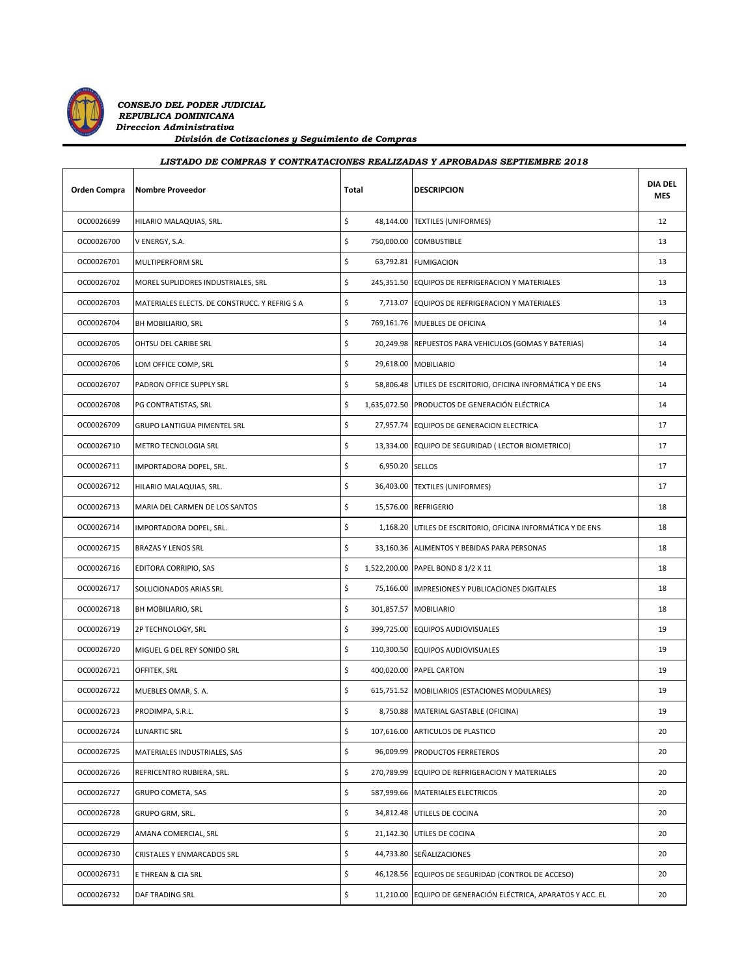

 *CONSEJO DEL PODER JUDICIAL REPUBLICA DOMINICANA Direccion Administrativa División de Cotizaciones y Seguimiento de Compras*

| LISTADO DE COMPRAS Y CONTRATACIONES REALIZADAS Y APROBADAS SEPTIEMBRE 2018 |                                               |              |                 |                                                              |                              |
|----------------------------------------------------------------------------|-----------------------------------------------|--------------|-----------------|--------------------------------------------------------------|------------------------------|
| Orden Compra                                                               | <b>Nombre Proveedor</b>                       | <b>Total</b> |                 | <b>DESCRIPCION</b>                                           | <b>DIA DEL</b><br><b>MES</b> |
| OC00026699                                                                 | HILARIO MALAQUIAS, SRL.                       | \$           |                 | 48,144.00 TEXTILES (UNIFORMES)                               | 12                           |
| OC00026700                                                                 | V ENERGY, S.A.                                | \$           |                 | 750,000.00 COMBUSTIBLE                                       | 13                           |
| OC00026701                                                                 | <b>MULTIPERFORM SRL</b>                       | \$           |                 | 63,792.81 FUMIGACION                                         | 13                           |
| OC00026702                                                                 | MOREL SUPLIDORES INDUSTRIALES, SRL            | \$           |                 | 245,351.50 EQUIPOS DE REFRIGERACION Y MATERIALES             | 13                           |
| OC00026703                                                                 | MATERIALES ELECTS. DE CONSTRUCC. Y REFRIG S A | \$           |                 | 7,713.07 EQUIPOS DE REFRIGERACION Y MATERIALES               | 13                           |
| OC00026704                                                                 | BH MOBILIARIO, SRL                            | \$           |                 | 769,161.76 MUEBLES DE OFICINA                                | 14                           |
| OC00026705                                                                 | OHTSU DEL CARIBE SRL                          | \$           |                 | 20,249.98 REPUESTOS PARA VEHICULOS (GOMAS Y BATERIAS)        | 14                           |
| OC00026706                                                                 | LOM OFFICE COMP, SRL                          | \$           |                 | 29,618.00 MOBILIARIO                                         | 14                           |
| OC00026707                                                                 | PADRON OFFICE SUPPLY SRL                      | \$           |                 | 58,806.48 UTILES DE ESCRITORIO, OFICINA INFORMÁTICA Y DE ENS | 14                           |
| OC00026708                                                                 | PG CONTRATISTAS, SRL                          | \$           |                 | 1,635,072.50 PRODUCTOS DE GENERACIÓN ELÉCTRICA               | 14                           |
| OC00026709                                                                 | <b>GRUPO LANTIGUA PIMENTEL SRL</b>            | \$           |                 | 27,957.74 EQUIPOS DE GENERACION ELECTRICA                    | 17                           |
| OC00026710                                                                 | METRO TECNOLOGIA SRL                          | \$           |                 | 13,334.00 EQUIPO DE SEGURIDAD (LECTOR BIOMETRICO)            | 17                           |
| OC00026711                                                                 | IMPORTADORA DOPEL, SRL.                       | \$           | 6,950.20 SELLOS |                                                              | 17                           |
| OC00026712                                                                 | HILARIO MALAQUIAS, SRL.                       | \$           |                 | 36,403.00 TEXTILES (UNIFORMES)                               | 17                           |
| OC00026713                                                                 | MARIA DEL CARMEN DE LOS SANTOS                | \$           |                 | 15,576.00 REFRIGERIO                                         | 18                           |
| OC00026714                                                                 | IMPORTADORA DOPEL, SRL.                       | \$           |                 | 1,168.20 UTILES DE ESCRITORIO, OFICINA INFORMÁTICA Y DE ENS  | 18                           |
| OC00026715                                                                 | <b>BRAZAS Y LENOS SRL</b>                     | \$           |                 | 33,160.36 ALIMENTOS Y BEBIDAS PARA PERSONAS                  | 18                           |
| OC00026716                                                                 | EDITORA CORRIPIO, SAS                         | \$           |                 | 1,522,200.00 PAPEL BOND 8 1/2 X 11                           | 18                           |
| OC00026717                                                                 | SOLUCIONADOS ARIAS SRL                        | \$           |                 | 75,166.00 IMPRESIONES Y PUBLICACIONES DIGITALES              | 18                           |
| OC00026718                                                                 | BH MOBILIARIO, SRL                            | \$           |                 | 301,857.57 MOBILIARIO                                        | 18                           |
| OC00026719                                                                 | 2P TECHNOLOGY, SRL                            | \$           |                 | 399,725.00 EQUIPOS AUDIOVISUALES                             | 19                           |
| OC00026720                                                                 | MIGUEL G DEL REY SONIDO SRL                   | \$           |                 | 110,300.50 EQUIPOS AUDIOVISUALES                             | 19                           |
| OC00026721                                                                 | OFFITEK, SRL                                  | \$           |                 | 400,020.00 PAPEL CARTON                                      | 19                           |
| OC00026722                                                                 | MUEBLES OMAR, S. A.                           | \$           |                 | 615,751.52 MOBILIARIOS (ESTACIONES MODULARES)                | 19                           |
| OC00026723                                                                 | PRODIMPA, S.R.L.                              | \$           |                 | 8,750.88 MATERIAL GASTABLE (OFICINA)                         | 19                           |
| OC00026724                                                                 | <b>LUNARTIC SRL</b>                           | \$           |                 | 107,616.00 ARTICULOS DE PLASTICO                             | 20                           |
| OC00026725                                                                 | MATERIALES INDUSTRIALES, SAS                  | $\sf S$      |                 | 96,009.99 PRODUCTOS FERRETEROS                               | 20                           |

OC00026726 REFRICENTRO RUBIERA, SRL. **1990 ELECTES SE AU SECONTRO REFRIGERACION** Y MATERIALES OC00026727 GRUPO COMETA, SAS **1999.66** MATERIALES ELECTRICOS **1999.66** MATERIALES ELECTRICOS 20 OC00026728 GRUPO GRM, SRL. COLORED SAL. A SALLES DE COCINA COLORED SALLES DE COCINA COLORED SALLES DE COCINA COLORED SALLES DE COCINA OC00026729 AMANA COMERCIAL, SRL \$ 21,142.30 UTILES DE COCINA 20 OC00026730 CRISTALES Y ENMARCADOS SRL SEÑALIZACIONES SAL 20 OC00026731 E THREAN & CIA SRL **6** 46,128.56 EQUIPOS DE SEGURIDAD (CONTROL DE ACCESO) 20 OC00026732 DAF TRADING SRL **11,210.00 EQUIPO DE GENERACIÓN ELÉCTRICA, APARATOS Y ACC. EL** 20